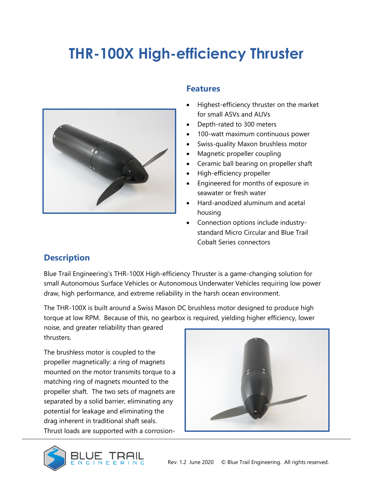# **THR-100X High-efficiency Thruster**



#### **Features**

- Highest-efficiency thruster on the market for small ASVs and AUVs
- Depth-rated to 300 meters
- 100-watt maximum continuous power
- Swiss-quality Maxon brushless motor
- Magnetic propeller coupling
- Ceramic ball bearing on propeller shaft
- High-efficiency propeller
- Engineered for months of exposure in seawater or fresh water
- Hard-anodized aluminum and acetal housing
- Connection options include industrystandard Micro Circular and Blue Trail Cobalt Series connectors

## **Description**

Blue Trail Engineering's THR-100X High-efficiency Thruster is a game-changing solution for small Autonomous Surface Vehicles or Autonomous Underwater Vehicles requiring low power draw, high performance, and extreme reliability in the harsh ocean environment.

The THR-100X is built around a Swiss Maxon DC brushless motor designed to produce high torque at low RPM. Because of this, no gearbox is required, yielding higher efficiency, lower

noise, and greater reliability than geared thrusters.

The brushless motor is coupled to the propeller magnetically: a ring of magnets mounted on the motor transmits torque to a matching ring of magnets mounted to the propeller shaft. The two sets of magnets are separated by a solid barrier, eliminating any potential for leakage and eliminating the drag inherent in traditional shaft seals. Thrust loads are supported with a corrosion-



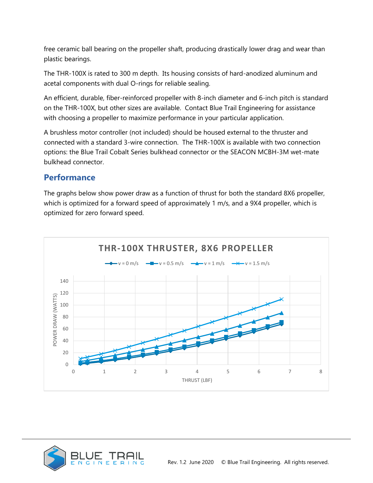free ceramic ball bearing on the propeller shaft, producing drastically lower drag and wear than plastic bearings.

The THR-100X is rated to 300 m depth. Its housing consists of hard-anodized aluminum and acetal components with dual O-rings for reliable sealing.

An efficient, durable, fiber-reinforced propeller with 8-inch diameter and 6-inch pitch is standard on the THR-100X, but other sizes are available. Contact Blue Trail Engineering for assistance with choosing a propeller to maximize performance in your particular application.

A brushless motor controller (not included) should be housed external to the thruster and connected with a standard 3-wire connection. The THR-100X is available with two connection options: the Blue Trail Cobalt Series bulkhead connector or the SEACON MCBH-3M wet-mate bulkhead connector.

#### **Performance**

The graphs below show power draw as a function of thrust for both the standard 8X6 propeller, which is optimized for a forward speed of approximately 1 m/s, and a 9X4 propeller, which is optimized for zero forward speed.



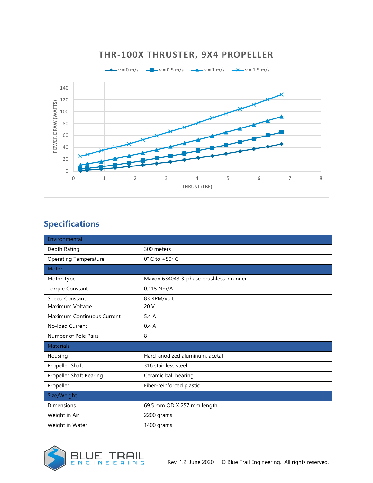

# **Specifications**

| Environmental                  |                                         |  |
|--------------------------------|-----------------------------------------|--|
| Depth Rating                   | 300 meters                              |  |
| <b>Operating Temperature</b>   | $0^{\circ}$ C to +50 $^{\circ}$ C       |  |
| Motor                          |                                         |  |
| Motor Type                     | Maxon 634043 3-phase brushless inrunner |  |
| <b>Torque Constant</b>         | 0.115 Nm/A                              |  |
| Speed Constant                 | 83 RPM/volt                             |  |
| Maximum Voltage                | 20V                                     |  |
| Maximum Continuous Current     | 5.4A                                    |  |
| No-load Current                | 0.4A                                    |  |
| Number of Pole Pairs           | 8                                       |  |
| <b>Materials</b>               |                                         |  |
| Housing                        | Hard-anodized aluminum, acetal          |  |
| Propeller Shaft                | 316 stainless steel                     |  |
| <b>Propeller Shaft Bearing</b> | Ceramic ball bearing                    |  |
| Propeller                      | Fiber-reinforced plastic                |  |
| Size/Weight                    |                                         |  |
| <b>Dimensions</b>              | 69.5 mm OD X 257 mm length              |  |
| Weight in Air                  | 2200 grams                              |  |
| Weight in Water                | 1400 grams                              |  |